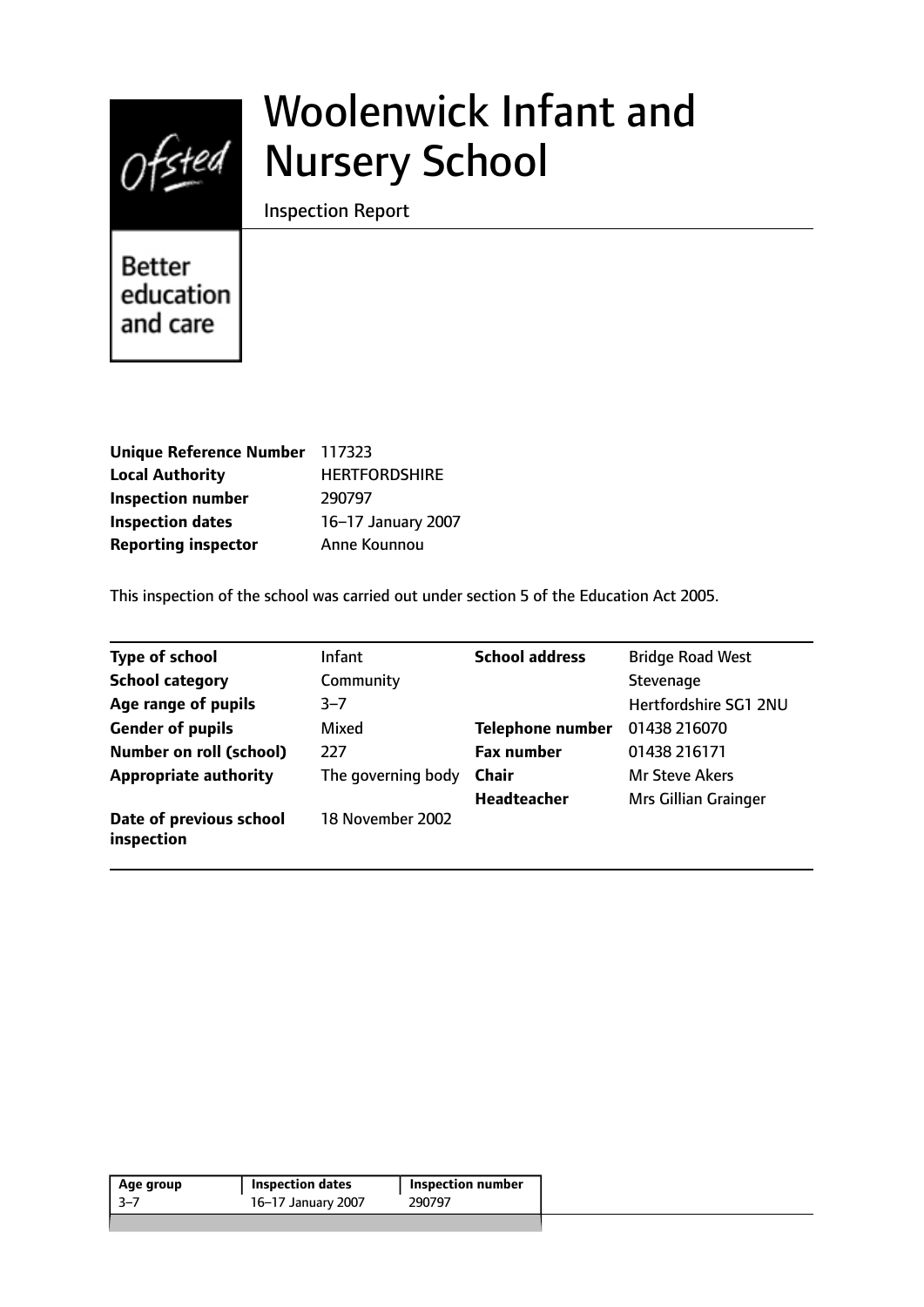

# Woolenwick Infant and Nursery School

Inspection Report

**Better** education and care

| Unique Reference Number 117323 |                      |
|--------------------------------|----------------------|
| <b>Local Authority</b>         | <b>HERTFORDSHIRE</b> |
| <b>Inspection number</b>       | 290797               |
| <b>Inspection dates</b>        | 16-17 January 2007   |
| <b>Reporting inspector</b>     | Anne Kounnou         |

This inspection of the school was carried out under section 5 of the Education Act 2005.

| <b>Type of school</b>                 | <b>Infant</b>      | <b>School address</b>   | <b>Bridge Road West</b> |
|---------------------------------------|--------------------|-------------------------|-------------------------|
| <b>School category</b>                | Community          |                         | Stevenage               |
| Age range of pupils                   | $3 - 7$            |                         | Hertfordshire SG1 2NU   |
| <b>Gender of pupils</b>               | Mixed              | <b>Telephone number</b> | 01438 216070            |
| <b>Number on roll (school)</b>        | 777                | <b>Fax number</b>       | 01438 216171            |
| <b>Appropriate authority</b>          | The governing body | <b>Chair</b>            | <b>Mr Steve Akers</b>   |
|                                       |                    | <b>Headteacher</b>      | Mrs Gillian Grainger    |
| Date of previous school<br>inspection | 18 November 2002   |                         |                         |

| Age group | <b>Inspection dates</b> | <b>Inspection number</b> |
|-----------|-------------------------|--------------------------|
| -3–7      | 16-17 January 2007      | 290797                   |
|           |                         |                          |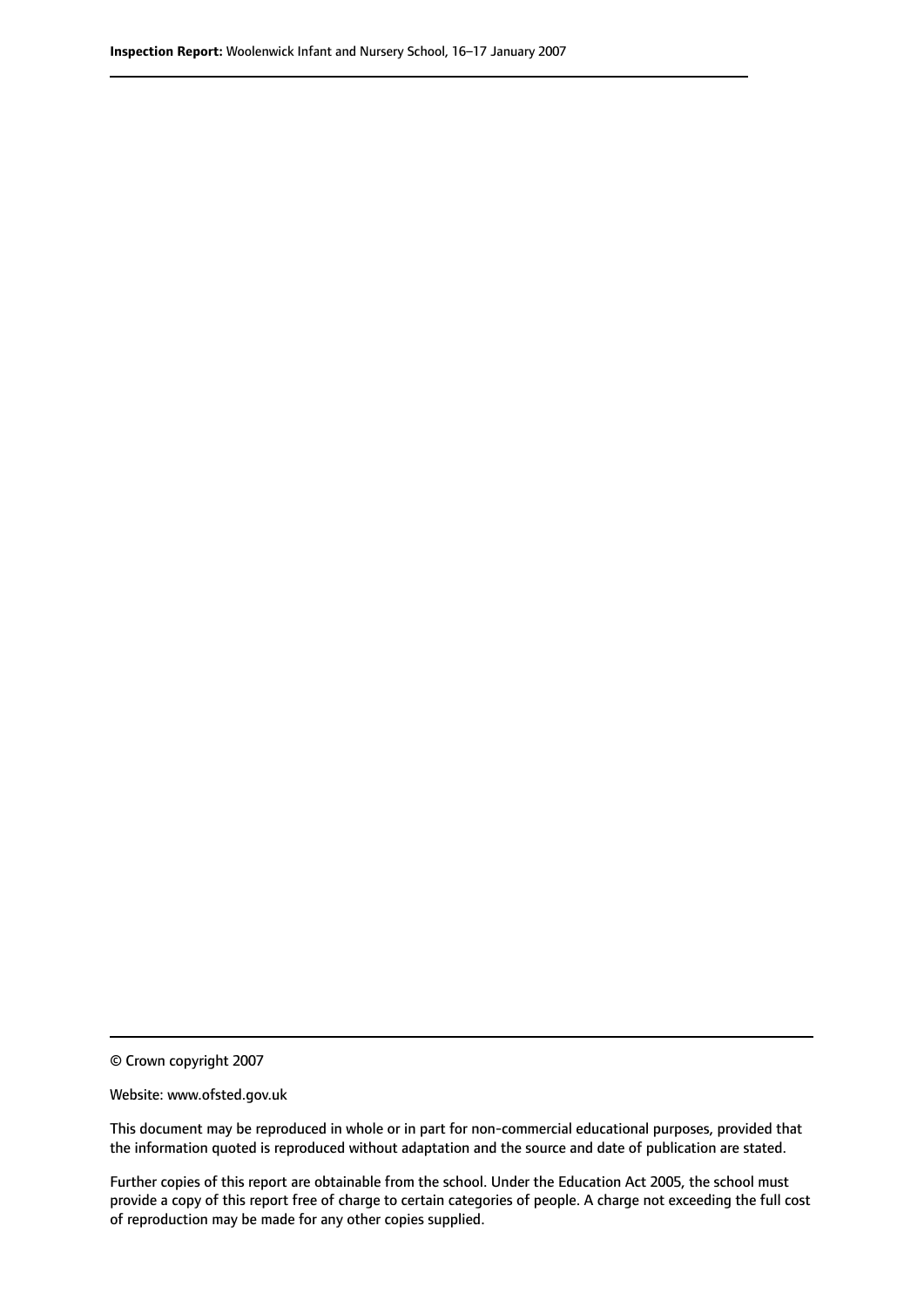© Crown copyright 2007

Website: www.ofsted.gov.uk

This document may be reproduced in whole or in part for non-commercial educational purposes, provided that the information quoted is reproduced without adaptation and the source and date of publication are stated.

Further copies of this report are obtainable from the school. Under the Education Act 2005, the school must provide a copy of this report free of charge to certain categories of people. A charge not exceeding the full cost of reproduction may be made for any other copies supplied.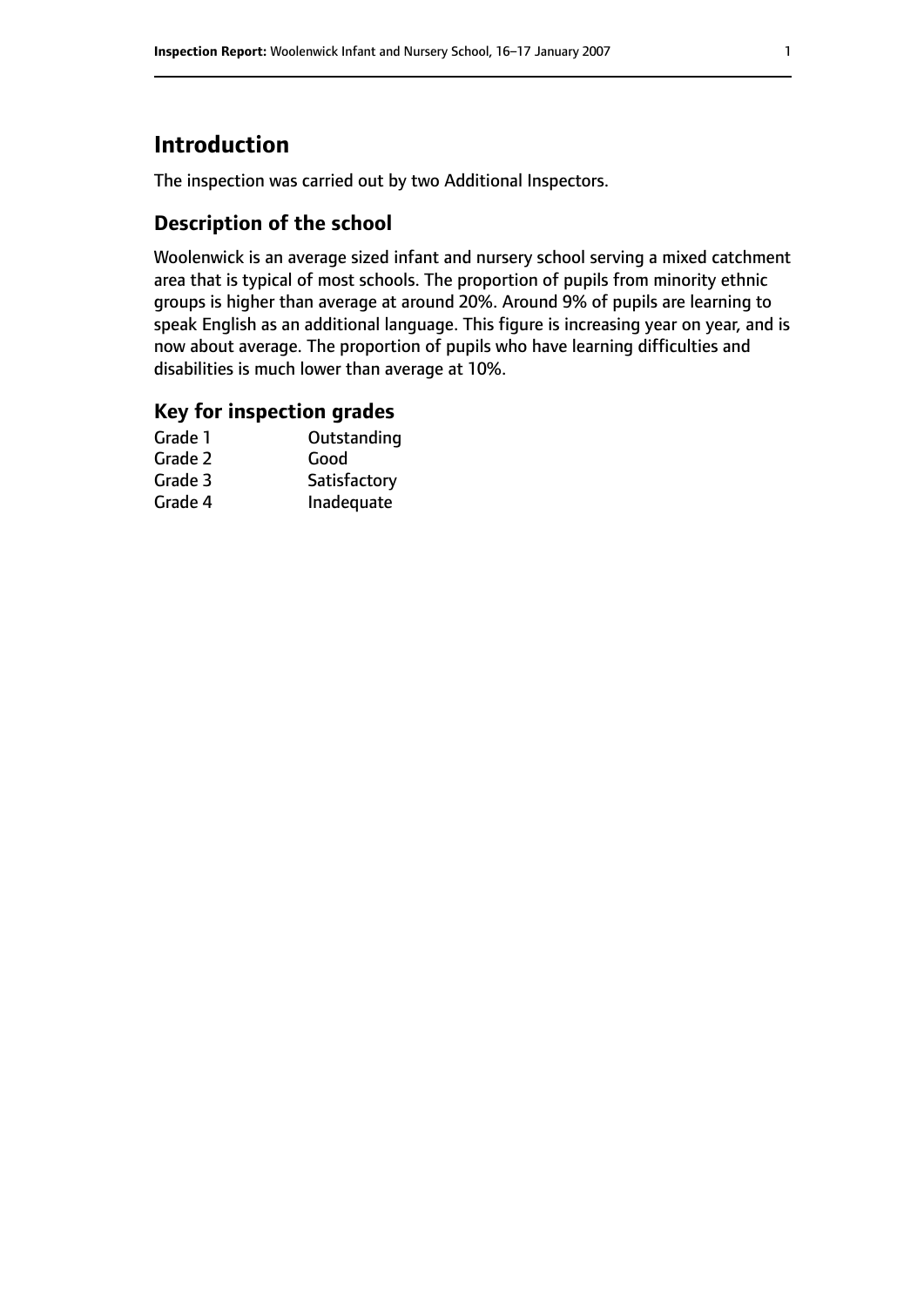# **Introduction**

The inspection was carried out by two Additional Inspectors.

## **Description of the school**

Woolenwick is an average sized infant and nursery school serving a mixed catchment area that is typical of most schools. The proportion of pupils from minority ethnic groups is higher than average at around 20%. Around 9% of pupils are learning to speak English as an additional language. This figure is increasing year on year, and is now about average. The proportion of pupils who have learning difficulties and disabilities is much lower than average at 10%.

### **Key for inspection grades**

| Grade 1 | Outstanding  |
|---------|--------------|
| Grade 2 | Good         |
| Grade 3 | Satisfactory |
| Grade 4 | Inadequate   |
|         |              |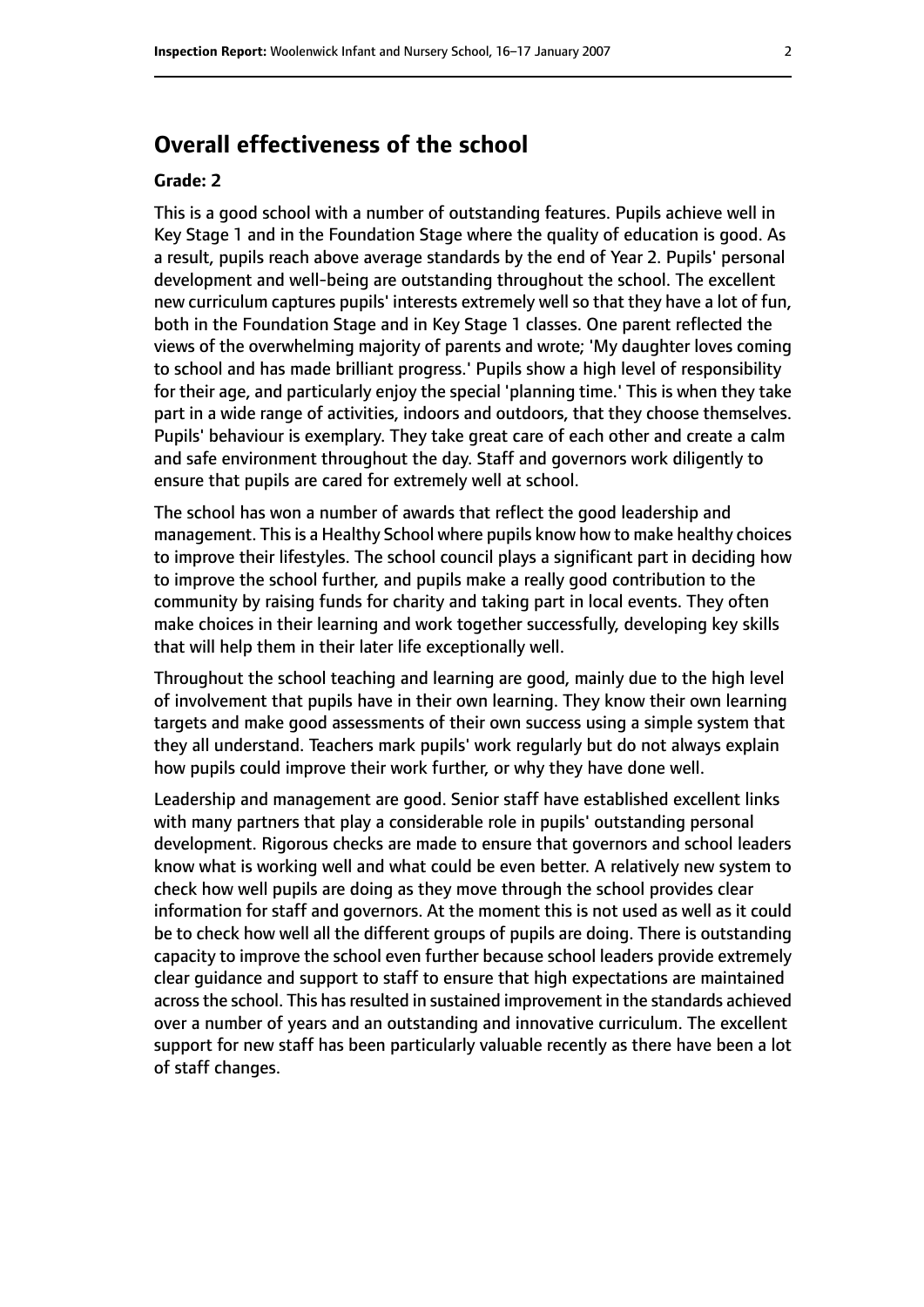## **Overall effectiveness of the school**

#### **Grade: 2**

This is a good school with a number of outstanding features. Pupils achieve well in Key Stage 1 and in the Foundation Stage where the quality of education is good. As a result, pupils reach above average standards by the end of Year 2. Pupils' personal development and well-being are outstanding throughout the school. The excellent new curriculum captures pupils' interests extremely well so that they have a lot of fun, both in the Foundation Stage and in Key Stage 1 classes. One parent reflected the views of the overwhelming majority of parents and wrote; 'My daughter loves coming to school and has made brilliant progress.' Pupils show a high level of responsibility for their age, and particularly enjoy the special 'planning time.' This is when they take part in a wide range of activities, indoors and outdoors, that they choose themselves. Pupils' behaviour is exemplary. They take great care of each other and create a calm and safe environment throughout the day. Staff and governors work diligently to ensure that pupils are cared for extremely well at school.

The school has won a number of awards that reflect the good leadership and management. Thisis a Healthy School where pupils know how to make healthy choices to improve their lifestyles. The school council plays a significant part in deciding how to improve the school further, and pupils make a really good contribution to the community by raising funds for charity and taking part in local events. They often make choices in their learning and work together successfully, developing key skills that will help them in their later life exceptionally well.

Throughout the school teaching and learning are good, mainly due to the high level of involvement that pupils have in their own learning. They know their own learning targets and make good assessments of their own success using a simple system that they all understand. Teachers mark pupils' work regularly but do not always explain how pupils could improve their work further, or why they have done well.

Leadership and management are good. Senior staff have established excellent links with many partners that play a considerable role in pupils' outstanding personal development. Rigorous checks are made to ensure that governors and school leaders know what is working well and what could be even better. A relatively new system to check how well pupils are doing as they move through the school provides clear information for staff and governors. At the moment this is not used as well as it could be to check how well all the different groups of pupils are doing. There is outstanding capacity to improve the school even further because school leaders provide extremely clear guidance and support to staff to ensure that high expectations are maintained across the school. This has resulted in sustained improvement in the standards achieved over a number of years and an outstanding and innovative curriculum. The excellent support for new staff has been particularly valuable recently as there have been a lot of staff changes.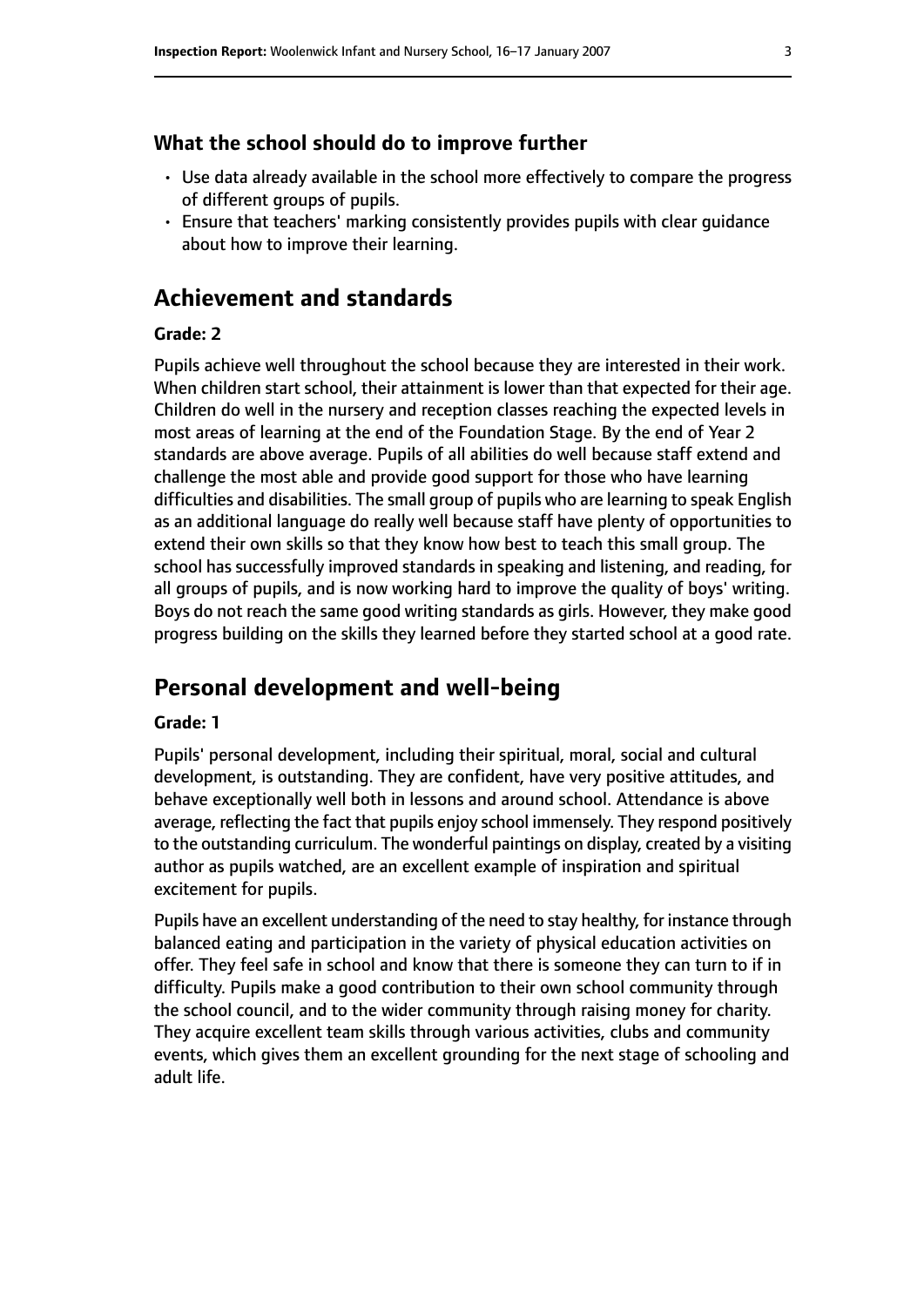#### **What the school should do to improve further**

- Use data already available in the school more effectively to compare the progress of different groups of pupils.
- Ensure that teachers' marking consistently provides pupils with clear guidance about how to improve their learning.

## **Achievement and standards**

#### **Grade: 2**

Pupils achieve well throughout the school because they are interested in their work. When children start school, their attainment is lower than that expected for their age. Children do well in the nursery and reception classes reaching the expected levels in most areas of learning at the end of the Foundation Stage. By the end of Year 2 standards are above average. Pupils of all abilities do well because staff extend and challenge the most able and provide good support for those who have learning difficulties and disabilities. The small group of pupils who are learning to speak English as an additional language do really well because staff have plenty of opportunities to extend their own skills so that they know how best to teach this small group. The school has successfully improved standards in speaking and listening, and reading, for all groups of pupils, and is now working hard to improve the quality of boys' writing. Boys do not reach the same good writing standards as girls. However, they make good progress building on the skills they learned before they started school at a good rate.

## **Personal development and well-being**

#### **Grade: 1**

Pupils' personal development, including their spiritual, moral, social and cultural development, is outstanding. They are confident, have very positive attitudes, and behave exceptionally well both in lessons and around school. Attendance is above average, reflecting the fact that pupils enjoy school immensely. They respond positively to the outstanding curriculum. The wonderful paintings on display, created by a visiting author as pupils watched, are an excellent example of inspiration and spiritual excitement for pupils.

Pupils have an excellent understanding of the need to stay healthy, for instance through balanced eating and participation in the variety of physical education activities on offer. They feel safe in school and know that there is someone they can turn to if in difficulty. Pupils make a good contribution to their own school community through the school council, and to the wider community through raising money for charity. They acquire excellent team skills through various activities, clubs and community events, which gives them an excellent grounding for the next stage of schooling and adult life.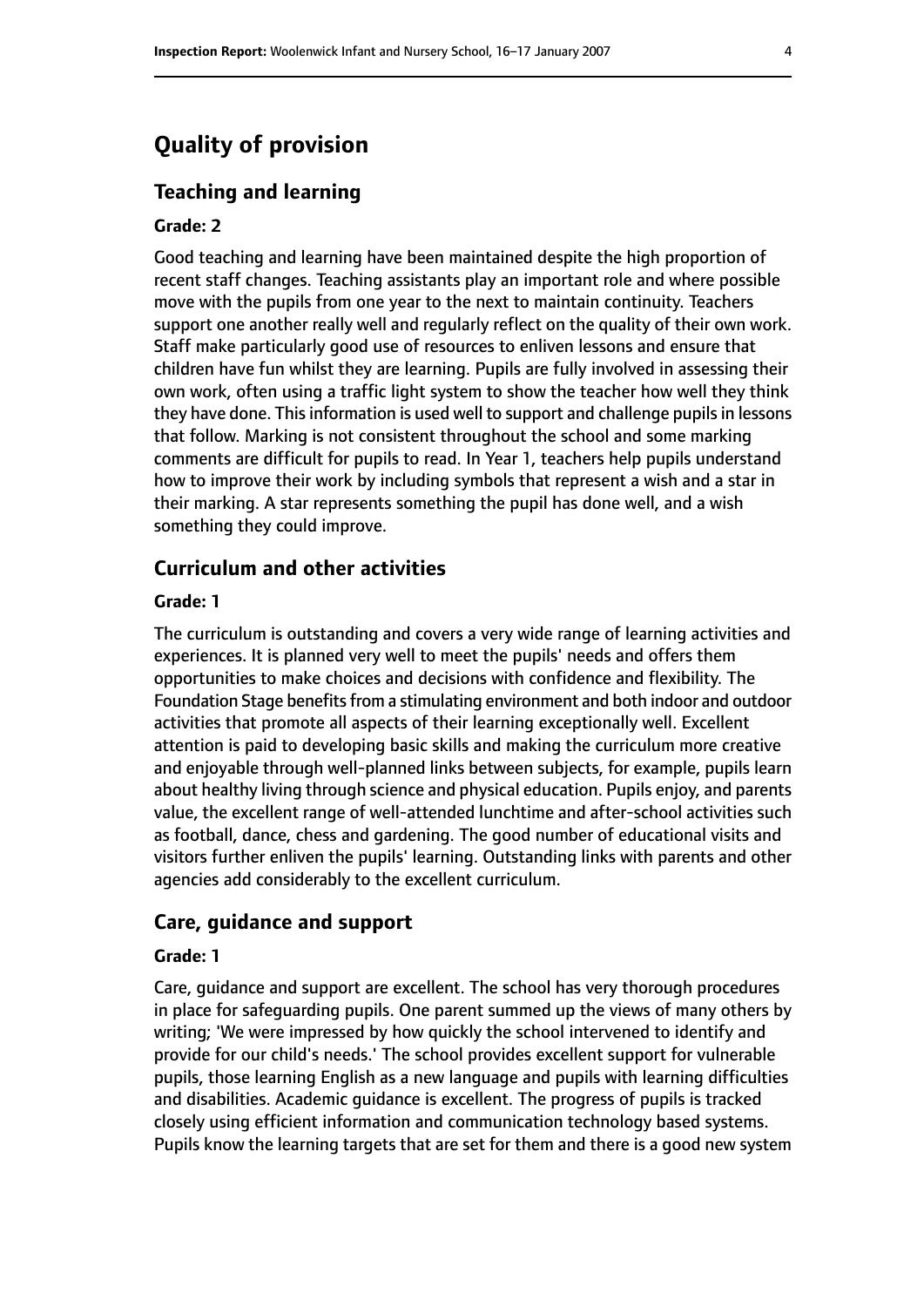## **Quality of provision**

#### **Teaching and learning**

#### **Grade: 2**

Good teaching and learning have been maintained despite the high proportion of recent staff changes. Teaching assistants play an important role and where possible move with the pupils from one year to the next to maintain continuity. Teachers support one another really well and regularly reflect on the quality of their own work. Staff make particularly good use of resources to enliven lessons and ensure that children have fun whilst they are learning. Pupils are fully involved in assessing their own work, often using a traffic light system to show the teacher how well they think they have done. This information is used well to support and challenge pupils in lessons that follow. Marking is not consistent throughout the school and some marking comments are difficult for pupils to read. In Year 1, teachers help pupils understand how to improve their work by including symbols that represent a wish and a star in their marking. A star represents something the pupil has done well, and a wish something they could improve.

#### **Curriculum and other activities**

#### **Grade: 1**

The curriculum is outstanding and covers a very wide range of learning activities and experiences. It is planned very well to meet the pupils' needs and offers them opportunities to make choices and decisions with confidence and flexibility. The Foundation Stage benefits from a stimulating environment and both indoor and outdoor activities that promote all aspects of their learning exceptionally well. Excellent attention is paid to developing basic skills and making the curriculum more creative and enjoyable through well-planned links between subjects, for example, pupils learn about healthy living through science and physical education. Pupils enjoy, and parents value, the excellent range of well-attended lunchtime and after-school activities such as football, dance, chess and gardening. The good number of educational visits and visitors further enliven the pupils' learning. Outstanding links with parents and other agencies add considerably to the excellent curriculum.

#### **Care, guidance and support**

#### **Grade: 1**

Care, guidance and support are excellent. The school has very thorough procedures in place for safeguarding pupils. One parent summed up the views of many others by writing; 'We were impressed by how quickly the school intervened to identify and provide for our child's needs.' The school provides excellent support for vulnerable pupils, those learning English as a new language and pupils with learning difficulties and disabilities. Academic guidance is excellent. The progress of pupils is tracked closely using efficient information and communication technology based systems. Pupils know the learning targets that are set for them and there is a good new system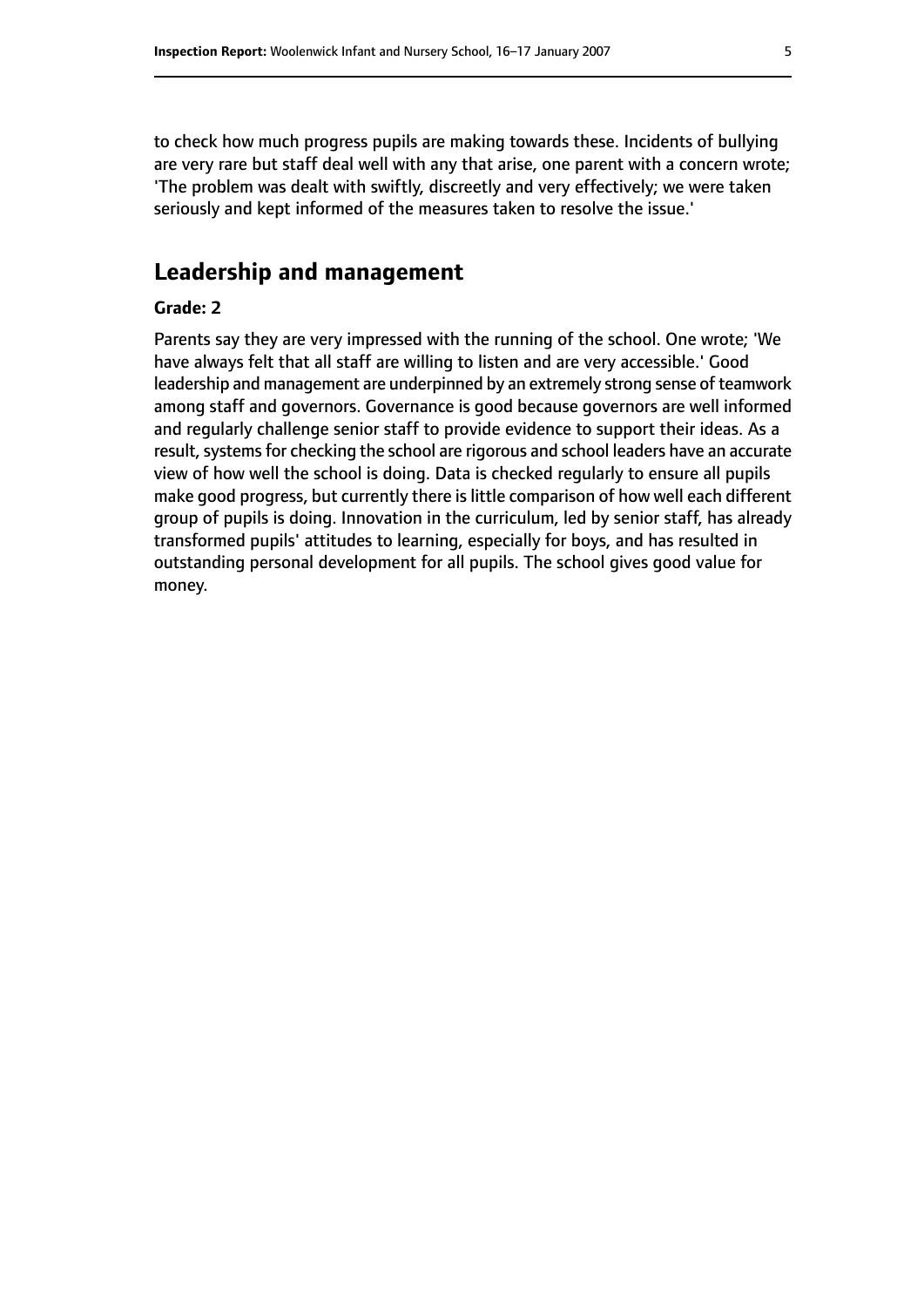to check how much progress pupils are making towards these. Incidents of bullying are very rare but staff deal well with any that arise, one parent with a concern wrote; 'The problem was dealt with swiftly, discreetly and very effectively; we were taken seriously and kept informed of the measures taken to resolve the issue.'

## **Leadership and management**

#### **Grade: 2**

Parents say they are very impressed with the running of the school. One wrote; 'We have always felt that all staff are willing to listen and are very accessible.' Good leadership and management are underpinned by an extremely strong sense of teamwork among staff and governors. Governance is good because governors are well informed and regularly challenge senior staff to provide evidence to support their ideas. As a result, systems for checking the school are rigorous and school leaders have an accurate view of how well the school is doing. Data is checked regularly to ensure all pupils make good progress, but currently there is little comparison of how well each different group of pupils is doing. Innovation in the curriculum, led by senior staff, has already transformed pupils' attitudes to learning, especially for boys, and has resulted in outstanding personal development for all pupils. The school gives good value for money.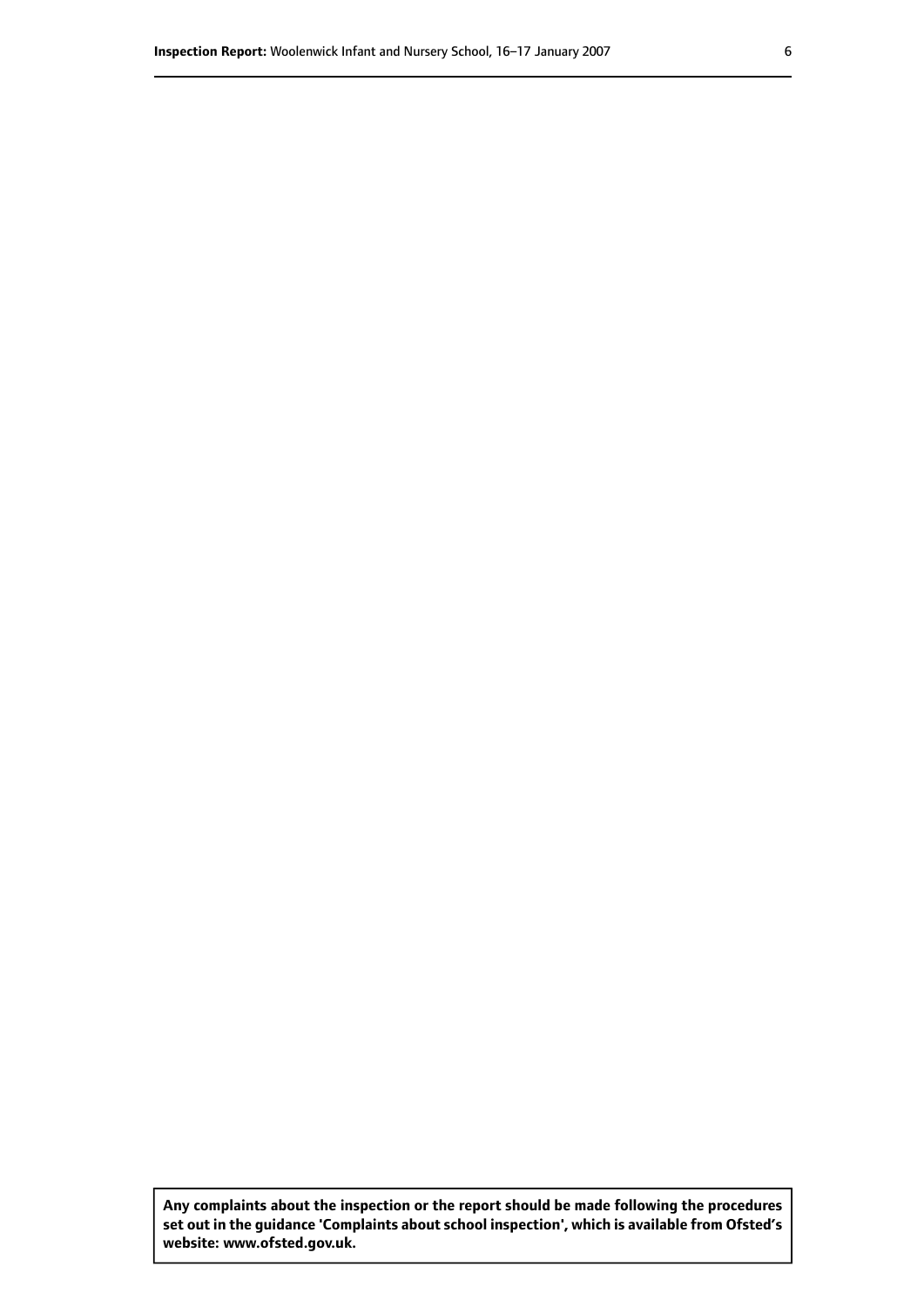**Any complaints about the inspection or the report should be made following the procedures set out inthe guidance 'Complaints about school inspection', whichis available from Ofsted's website: www.ofsted.gov.uk.**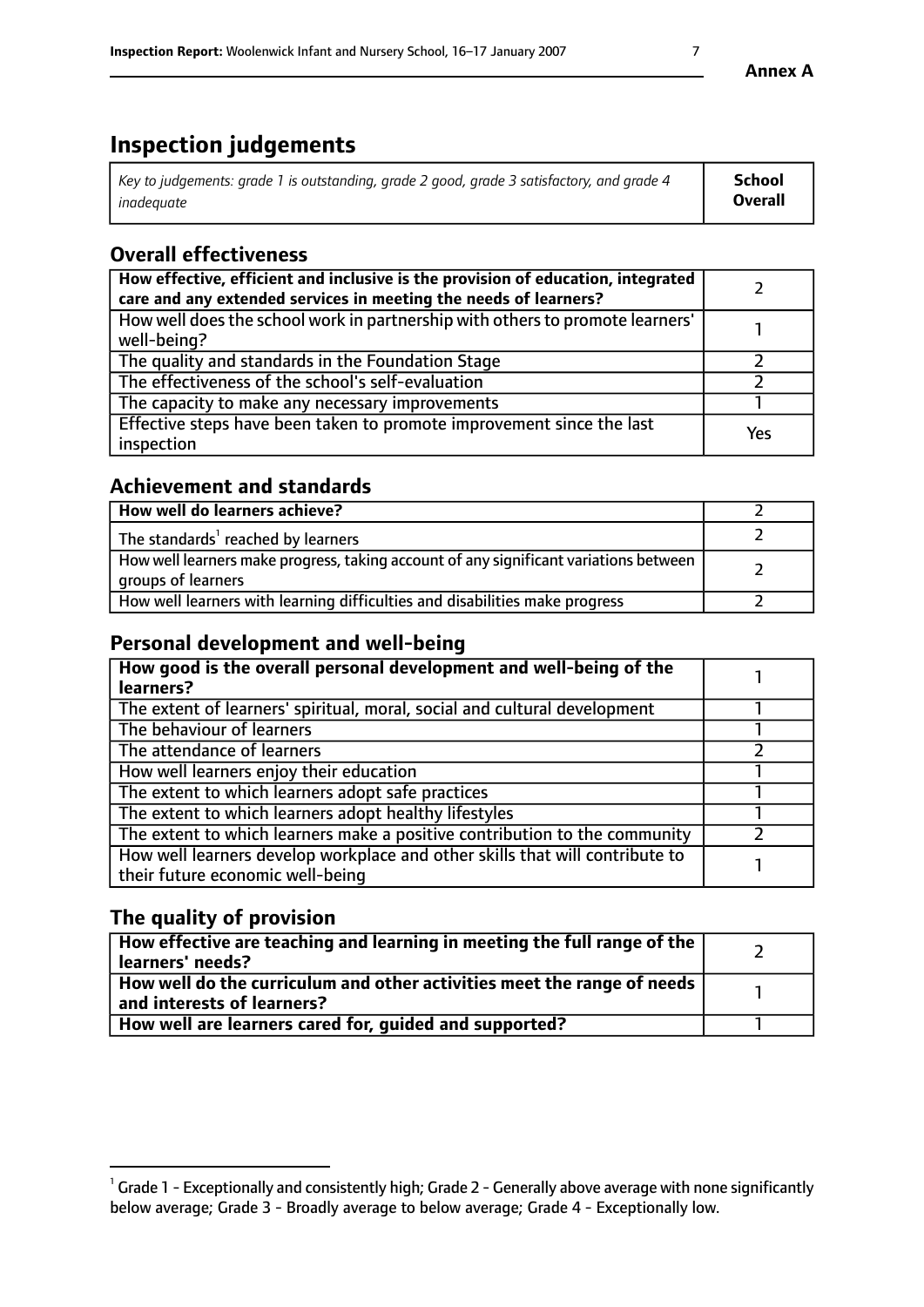# **Inspection judgements**

| Key to judgements: grade 1 is outstanding, grade 2 good, grade 3 satisfactory, and grade 4 | School         |
|--------------------------------------------------------------------------------------------|----------------|
| inadequate                                                                                 | <b>Overall</b> |

## **Overall effectiveness**

| How effective, efficient and inclusive is the provision of education, integrated<br>care and any extended services in meeting the needs of learners? |     |
|------------------------------------------------------------------------------------------------------------------------------------------------------|-----|
| How well does the school work in partnership with others to promote learners'<br>well-being?                                                         |     |
| The quality and standards in the Foundation Stage                                                                                                    |     |
| The effectiveness of the school's self-evaluation                                                                                                    |     |
| The capacity to make any necessary improvements                                                                                                      |     |
| Effective steps have been taken to promote improvement since the last<br>inspection                                                                  | Yes |

## **Achievement and standards**

| How well do learners achieve?                                                                               |  |
|-------------------------------------------------------------------------------------------------------------|--|
| The standards <sup>1</sup> reached by learners                                                              |  |
| How well learners make progress, taking account of any significant variations between<br>groups of learners |  |
| How well learners with learning difficulties and disabilities make progress                                 |  |

## **Personal development and well-being**

| How good is the overall personal development and well-being of the<br>learners?                                  |  |
|------------------------------------------------------------------------------------------------------------------|--|
| The extent of learners' spiritual, moral, social and cultural development                                        |  |
| The behaviour of learners                                                                                        |  |
| The attendance of learners                                                                                       |  |
| How well learners enjoy their education                                                                          |  |
| The extent to which learners adopt safe practices                                                                |  |
| The extent to which learners adopt healthy lifestyles                                                            |  |
| The extent to which learners make a positive contribution to the community                                       |  |
| How well learners develop workplace and other skills that will contribute to<br>their future economic well-being |  |

## **The quality of provision**

| How effective are teaching and learning in meeting the full range of the<br>  learners' needs?                      |  |
|---------------------------------------------------------------------------------------------------------------------|--|
| $\mid$ How well do the curriculum and other activities meet the range of needs<br>$\mid$ and interests of learners? |  |
| How well are learners cared for, guided and supported?                                                              |  |

 $^1$  Grade 1 - Exceptionally and consistently high; Grade 2 - Generally above average with none significantly below average; Grade 3 - Broadly average to below average; Grade 4 - Exceptionally low.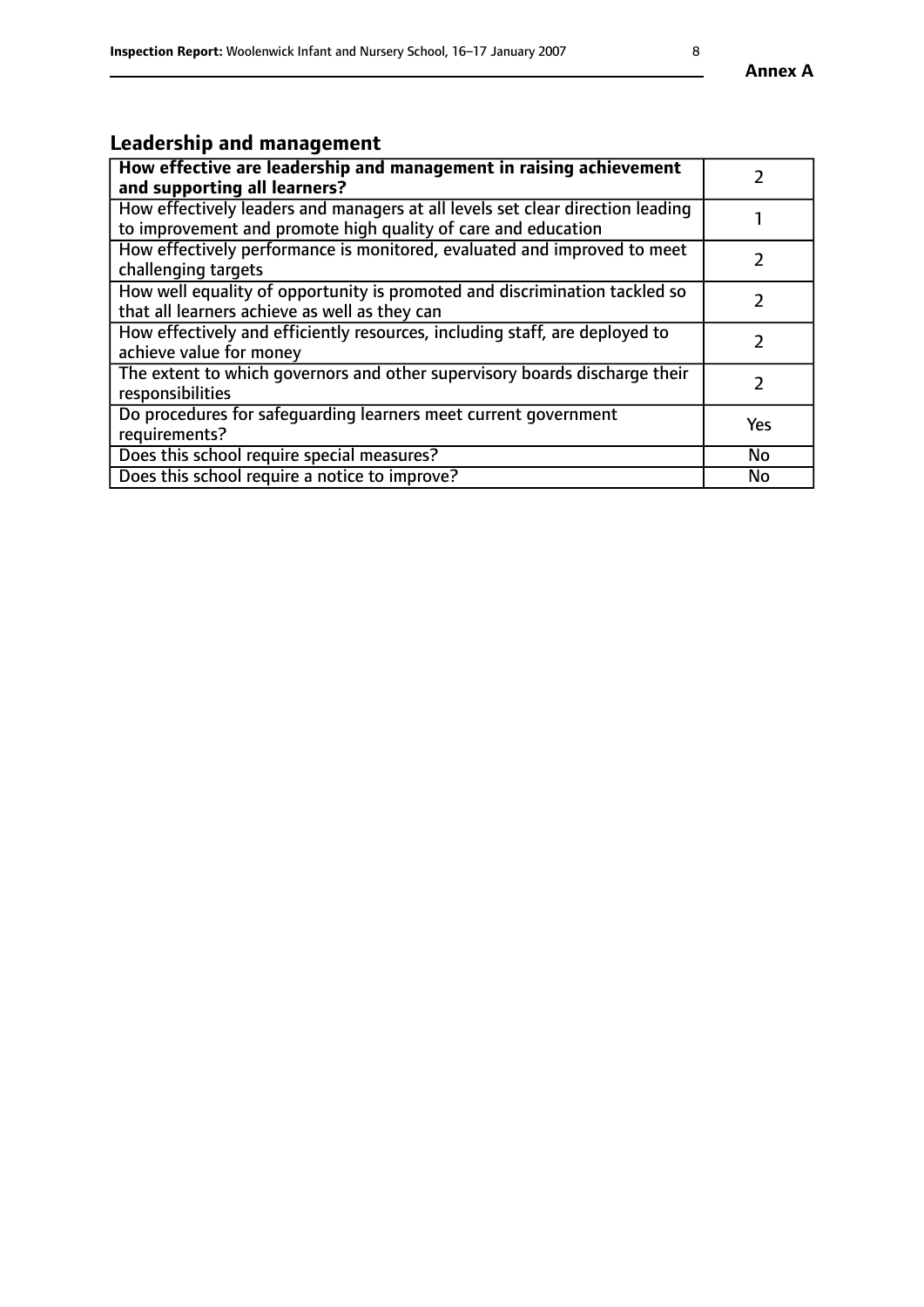# **Leadership and management**

| How effective are leadership and management in raising achievement<br>and supporting all learners?                                              |               |
|-------------------------------------------------------------------------------------------------------------------------------------------------|---------------|
| How effectively leaders and managers at all levels set clear direction leading<br>to improvement and promote high quality of care and education |               |
| How effectively performance is monitored, evaluated and improved to meet<br>challenging targets                                                 |               |
| How well equality of opportunity is promoted and discrimination tackled so<br>that all learners achieve as well as they can                     |               |
| How effectively and efficiently resources, including staff, are deployed to<br>achieve value for money                                          | $\mathcal{P}$ |
| The extent to which governors and other supervisory boards discharge their<br>responsibilities                                                  |               |
| Do procedures for safequarding learners meet current government<br>requirements?                                                                | Yes           |
| Does this school require special measures?                                                                                                      | No            |
| Does this school require a notice to improve?                                                                                                   | <b>No</b>     |